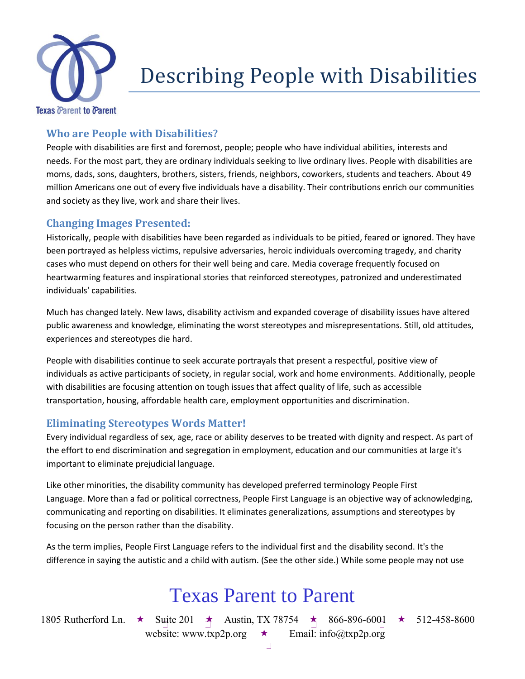

### **Who are People with Disabilities?**

People with disabilities are first and foremost, people; people who have individual abilities, interests and needs. For the most part, they are ordinary individuals seeking to live ordinary lives. People with disabilities are moms, dads, sons, daughters, brothers, sisters, friends, neighbors, coworkers, students and teachers. About 49 million Americans one out of every five individuals have a disability. Their contributions enrich our communities and society as they live, work and share their lives.

#### **Changing Images Presented:**

Historically, people with disabilities have been regarded as individuals to be pitied, feared or ignored. They have been portrayed as helpless victims, repulsive adversaries, heroic individuals overcoming tragedy, and charity cases who must depend on others for their well being and care. Media coverage frequently focused on heartwarming features and inspirational stories that reinforced stereotypes, patronized and underestimated individuals' capabilities.

Much has changed lately. New laws, disability activism and expanded coverage of disability issues have altered public awareness and knowledge, eliminating the worst stereotypes and misrepresentations. Still, old attitudes, experiences and stereotypes die hard.

People with disabilities continue to seek accurate portrayals that present a respectful, positive view of individuals as active participants of society, in regular social, work and home environments. Additionally, people with disabilities are focusing attention on tough issues that affect quality of life, such as accessible transportation, housing, affordable health care, employment opportunities and discrimination.

#### **Eliminating Stereotypes Words Matter!**

Every individual regardless of sex, age, race or ability deserves to be treated with dignity and respect. As part of the effort to end discrimination and segregation in employment, education and our communities at large it's important to eliminate prejudicial language.

Like other minorities, the disability community has developed preferred terminology People First Language. More than a fad or political correctness, People First Language is an objective way of acknowledging, communicating and reporting on disabilities. It eliminates generalizations, assumptions and stereotypes by focusing on the person rather than the disability.

As the term implies, People First Language refers to the individual first and the disability second. It's the difference in saying the autistic and a child with autism. (See the other side.) While some people may not use

# Texas Parent to Parent

1805 Rutherford Ln.  $\star$  Suite 201  $\star$  Austin, TX 78754  $\star$  866-896-6001  $\star$  512-458-8600

website: www.txp2p.org  $\star$  Email: info@txp2p.org